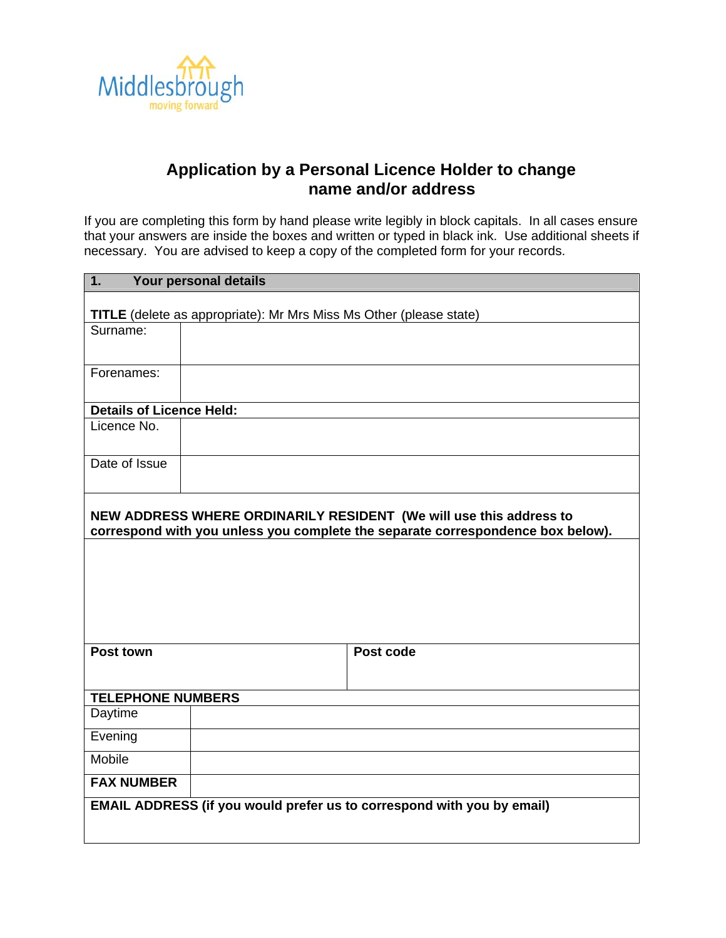

## **Application by a Personal Licence Holder to change name and/or address**

If you are completing this form by hand please write legibly in block capitals. In all cases ensure that your answers are inside the boxes and written or typed in black ink. Use additional sheets if necessary. You are advised to keep a copy of the completed form for your records.

| $\Box$ .<br>Your personal details                                                                                                                     |                                                                        |  |  |  |
|-------------------------------------------------------------------------------------------------------------------------------------------------------|------------------------------------------------------------------------|--|--|--|
| <b>TITLE</b> (delete as appropriate): Mr Mrs Miss Ms Other (please state)                                                                             |                                                                        |  |  |  |
| Surname:                                                                                                                                              |                                                                        |  |  |  |
|                                                                                                                                                       |                                                                        |  |  |  |
| Forenames:                                                                                                                                            |                                                                        |  |  |  |
| <b>Details of Licence Held:</b>                                                                                                                       |                                                                        |  |  |  |
| Licence No.                                                                                                                                           |                                                                        |  |  |  |
| Date of Issue                                                                                                                                         |                                                                        |  |  |  |
| NEW ADDRESS WHERE ORDINARILY RESIDENT (We will use this address to<br>correspond with you unless you complete the separate correspondence box below). |                                                                        |  |  |  |
|                                                                                                                                                       |                                                                        |  |  |  |
| Post town                                                                                                                                             | Post code                                                              |  |  |  |
| <b>TELEPHONE NUMBERS</b>                                                                                                                              |                                                                        |  |  |  |
| Daytime                                                                                                                                               |                                                                        |  |  |  |
| Evening                                                                                                                                               |                                                                        |  |  |  |
| Mobile                                                                                                                                                |                                                                        |  |  |  |
| <b>FAX NUMBER</b>                                                                                                                                     |                                                                        |  |  |  |
|                                                                                                                                                       | EMAIL ADDRESS (if you would prefer us to correspond with you by email) |  |  |  |